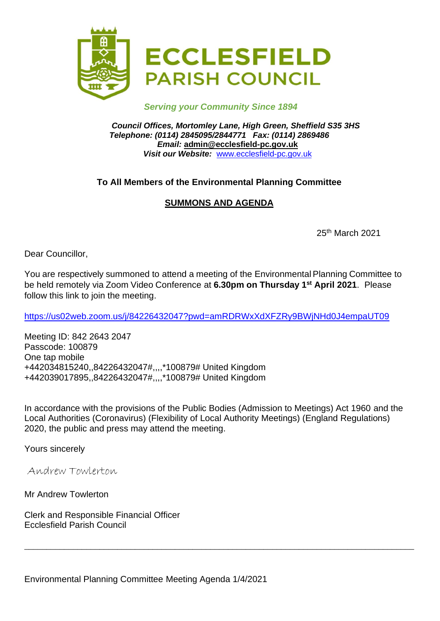

## *Serving your Community Since 1894*

*Council Offices, Mortomley Lane, High Green, Sheffield S35 3HS Telephone: (0114) 2845095/2844771 Fax: (0114) 2869486 Email:* **admin@ecclesfield-pc.gov.uk** *Visit our Website:* [www.ecclesfield-pc.gov.uk](http://www.ecclesfield-pc.gov.uk/)

# **To All Members of the Environmental Planning Committee**

# **SUMMONS AND AGENDA**

25th March 2021

Dear Councillor,

You are respectively summoned to attend a meeting of the Environmental Planning Committee to be held remotely via Zoom Video Conference at **6.30pm on Thursday 1 st April 2021**. Please follow this link to join the meeting.

<https://us02web.zoom.us/j/84226432047?pwd=amRDRWxXdXFZRy9BWjNHd0J4empaUT09>

Meeting ID: 842 2643 2047 Passcode: 100879 One tap mobile +442034815240,,84226432047#,,,,\*100879# United Kingdom +442039017895,,84226432047#,,,,\*100879# United Kingdom

In accordance with the provisions of the Public Bodies (Admission to Meetings) Act 1960 and the Local Authorities (Coronavirus) (Flexibility of Local Authority Meetings) (England Regulations) 2020, the public and press may attend the meeting.

\_\_\_\_\_\_\_\_\_\_\_\_\_\_\_\_\_\_\_\_\_\_\_\_\_\_\_\_\_\_\_\_\_\_\_\_\_\_\_\_\_\_\_\_\_\_\_\_\_\_\_\_\_\_\_\_\_\_\_\_\_\_\_\_\_\_\_\_\_\_\_\_\_\_\_\_\_\_\_\_\_\_\_\_\_\_\_\_

Yours sincerely

Andrew Towlerton

Mr Andrew Towlerton

Clerk and Responsible Financial Officer Ecclesfield Parish Council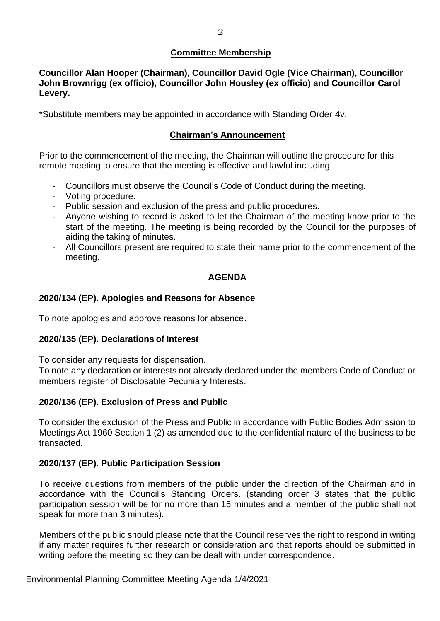## **Committee Membership**

**Councillor Alan Hooper (Chairman), Councillor David Ogle (Vice Chairman), Councillor John Brownrigg (ex officio), Councillor John Housley (ex officio) and Councillor Carol Levery.**

\*Substitute members may be appointed in accordance with Standing Order 4v.

# **Chairman's Announcement**

Prior to the commencement of the meeting, the Chairman will outline the procedure for this remote meeting to ensure that the meeting is effective and lawful including:

- Councillors must observe the Council's Code of Conduct during the meeting.
- Voting procedure.
- Public session and exclusion of the press and public procedures.
- Anyone wishing to record is asked to let the Chairman of the meeting know prior to the start of the meeting. The meeting is being recorded by the Council for the purposes of aiding the taking of minutes.
- All Councillors present are required to state their name prior to the commencement of the meeting.

# **AGENDA**

# **2020/134 (EP). Apologies and Reasons for Absence**

To note apologies and approve reasons for absence.

#### **2020/135 (EP). Declarations of Interest**

To consider any requests for dispensation.

To note any declaration or interests not already declared under the members Code of Conduct or members register of Disclosable Pecuniary Interests.

#### **2020/136 (EP). Exclusion of Press and Public**

To consider the exclusion of the Press and Public in accordance with Public Bodies Admission to Meetings Act 1960 Section 1 (2) as amended due to the confidential nature of the business to be transacted.

#### **2020/137 (EP). Public Participation Session**

To receive questions from members of the public under the direction of the Chairman and in accordance with the Council's Standing Orders. (standing order 3 states that the public participation session will be for no more than 15 minutes and a member of the public shall not speak for more than 3 minutes).

Members of the public should please note that the Council reserves the right to respond in writing if any matter requires further research or consideration and that reports should be submitted in writing before the meeting so they can be dealt with under correspondence.

Environmental Planning Committee Meeting Agenda 1/4/2021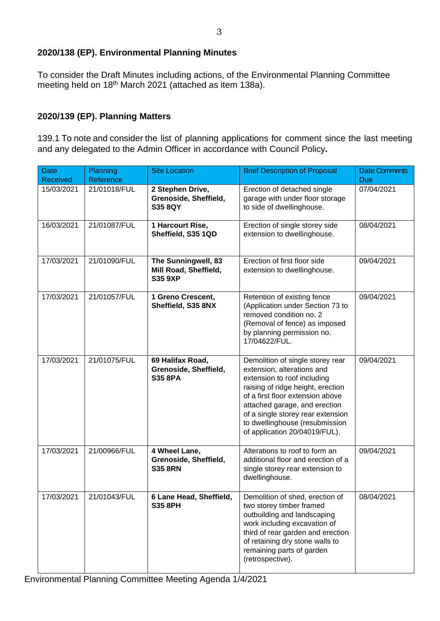# **2020/138 (EP). Environmental Planning Minutes**

To consider the Draft Minutes including actions, of the Environmental Planning Committee meeting held on 18th March 2021 (attached as item 138a).

# **2020/139 (EP). Planning Matters**

139.1 To note and consider the list of planning applications for comment since the last meeting and any delegated to the Admin Officer in accordance with Council Policy**.**

| <b>Date</b><br><b>Received</b> | Planning<br>Reference | <b>Site Location</b>                                           | <b>Brief Description of Proposal</b>                                                                                                                                                                                                                                                                            | <b>Date Comments</b><br><b>Due</b> |
|--------------------------------|-----------------------|----------------------------------------------------------------|-----------------------------------------------------------------------------------------------------------------------------------------------------------------------------------------------------------------------------------------------------------------------------------------------------------------|------------------------------------|
| 15/03/2021                     | 21/01018/FUL          | 2 Stephen Drive,<br>Grenoside, Sheffield,<br><b>S35 8QY</b>    | Erection of detached single<br>garage with under floor storage<br>to side of dwellinghouse.                                                                                                                                                                                                                     | 07/04/2021                         |
| 16/03/2021                     | 21/01087/FUL          | 1 Harcourt Rise,<br>Sheffield, S35 1QD                         | Erection of single storey side<br>extension to dwellinghouse.                                                                                                                                                                                                                                                   | 08/04/2021                         |
| 17/03/2021                     | 21/01090/FUL          | The Sunningwell, 83<br>Mill Road, Sheffield,<br><b>S35 9XP</b> | Erection of first floor side<br>extension to dwellinghouse.                                                                                                                                                                                                                                                     | 09/04/2021                         |
| 17/03/2021                     | 21/01057/FUL          | 1 Greno Crescent,<br>Sheffield, S35 8NX                        | Retention of existing fence<br>(Application under Section 73 to<br>removed condition no. 2<br>(Removal of fence) as imposed<br>by planning permission no.<br>17/04622/FUL.                                                                                                                                      | 09/04/2021                         |
| 17/03/2021                     | 21/01075/FUL          | 69 Halifax Road,<br>Grenoside, Sheffield,<br><b>S35 8PA</b>    | Demolition of single storey rear<br>extension, alterations and<br>extension to roof including<br>raising of ridge height, erection<br>of a first floor extension above<br>attached garage, and erection<br>of a single storey rear extension<br>to dwellinghouse (resubmission<br>of application 20/04019/FUL). | 09/04/2021                         |
| 17/03/2021                     | 21/00966/FUL          | 4 Wheel Lane,<br>Grenoside, Sheffield,<br><b>S35 8RN</b>       | Alterations to roof to form an<br>additional floor and erection of a<br>single storey rear extension to<br>dwellinghouse.                                                                                                                                                                                       | 09/04/2021                         |
| 17/03/2021                     | 21/01043/FUL          | 6 Lane Head, Sheffield,<br><b>S35 8PH</b>                      | Demolition of shed, erection of<br>two storey timber framed<br>outbuilding and landscaping<br>work including excavation of<br>third of rear garden and erection<br>of retaining dry stone walls to<br>remaining parts of garden<br>(retrospective).                                                             | 08/04/2021                         |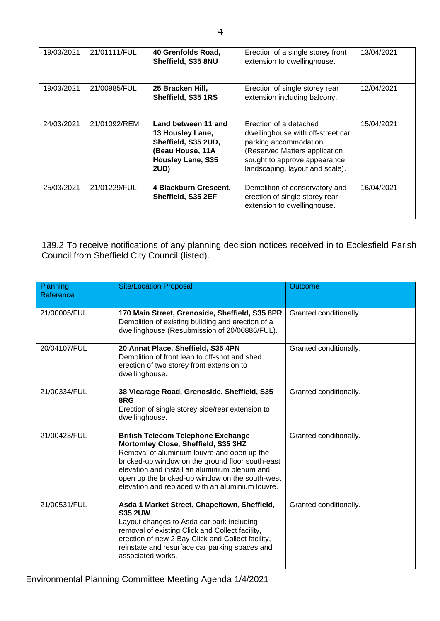| 19/03/2021 | 21/01111/FUL | 40 Grenfolds Road,<br>Sheffield, S35 8NU                                                                                      | Erection of a single storey front<br>extension to dwellinghouse.                                                                                                                          | 13/04/2021 |
|------------|--------------|-------------------------------------------------------------------------------------------------------------------------------|-------------------------------------------------------------------------------------------------------------------------------------------------------------------------------------------|------------|
| 19/03/2021 | 21/00985/FUL | 25 Bracken Hill,<br>Sheffield, S35 1RS                                                                                        | Erection of single storey rear<br>extension including balcony.                                                                                                                            | 12/04/2021 |
| 24/03/2021 | 21/01092/REM | Land between 11 and<br>13 Housley Lane,<br>Sheffield, S35 2UD,<br>(Beau House, 11A<br><b>Housley Lane, S35</b><br><b>2UD)</b> | Erection of a detached<br>dwellinghouse with off-street car<br>parking accommodation<br>(Reserved Matters application<br>sought to approve appearance,<br>landscaping, layout and scale). | 15/04/2021 |
| 25/03/2021 | 21/01229/FUL | 4 Blackburn Crescent,<br>Sheffield, S35 2EF                                                                                   | Demolition of conservatory and<br>erection of single storey rear<br>extension to dwellinghouse.                                                                                           | 16/04/2021 |

139.2 To receive notifications of any planning decision notices received in to Ecclesfield Parish Council from Sheffield City Council (listed).

| Planning<br>Reference | <b>Site/Location Proposal</b>                                                                                                                                                                                                                                                                                                               | <b>Outcome</b>         |
|-----------------------|---------------------------------------------------------------------------------------------------------------------------------------------------------------------------------------------------------------------------------------------------------------------------------------------------------------------------------------------|------------------------|
| 21/00005/FUL          | 170 Main Street, Grenoside, Sheffield, S35 8PR<br>Demolition of existing building and erection of a<br>dwellinghouse (Resubmission of 20/00886/FUL).                                                                                                                                                                                        | Granted conditionally. |
| 20/04107/FUL          | 20 Annat Place, Sheffield, S35 4PN<br>Demolition of front lean to off-shot and shed<br>erection of two storey front extension to<br>dwellinghouse.                                                                                                                                                                                          | Granted conditionally. |
| 21/00334/FUL          | 38 Vicarage Road, Grenoside, Sheffield, S35<br>8RG<br>Erection of single storey side/rear extension to<br>dwellinghouse.                                                                                                                                                                                                                    | Granted conditionally. |
| 21/00423/FUL          | <b>British Telecom Telephone Exchange</b><br>Mortomley Close, Sheffield, S35 3HZ<br>Removal of aluminium louvre and open up the<br>bricked-up window on the ground floor south-east<br>elevation and install an aluminium plenum and<br>open up the bricked-up window on the south-west<br>elevation and replaced with an aluminium louvre. | Granted conditionally. |
| 21/00531/FUL          | Asda 1 Market Street, Chapeltown, Sheffield,<br><b>S35 2UW</b><br>Layout changes to Asda car park including<br>removal of existing Click and Collect facility,<br>erection of new 2 Bay Click and Collect facility,<br>reinstate and resurface car parking spaces and<br>associated works.                                                  | Granted conditionally. |